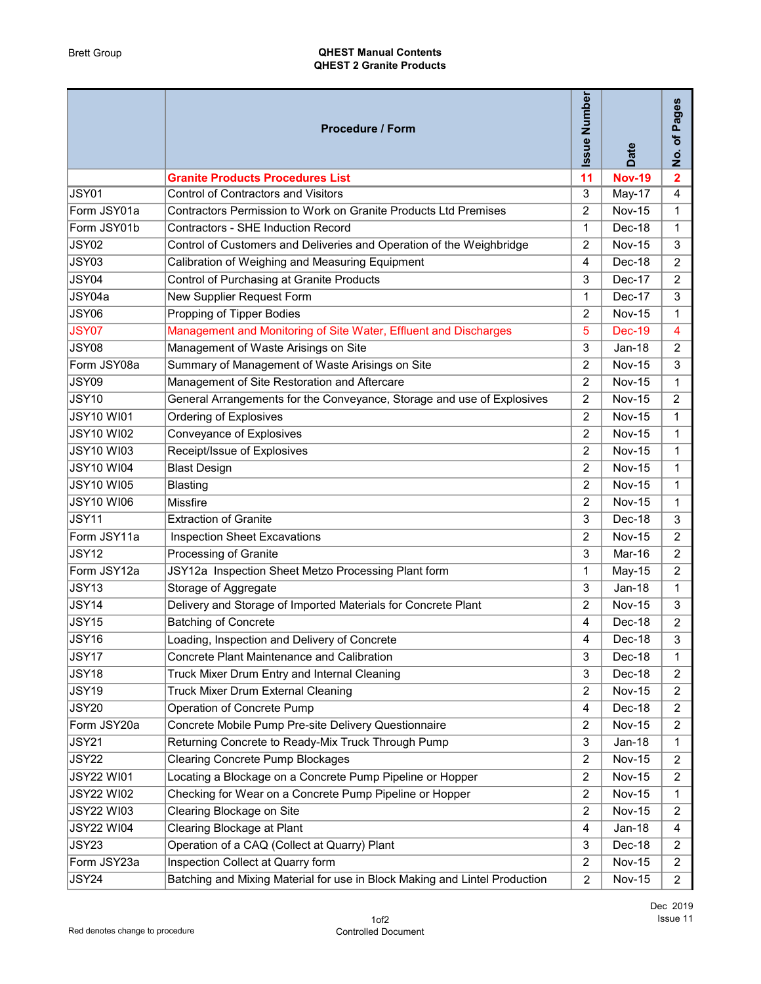## Brett Group **QHEST Manual Contents** QHEST 2 Granite Products

|                   | Procedure / Form                                                           | <b>Issue Number</b> | Date          | ဖိ<br>ā<br>Ő.<br>৳<br>$\frac{1}{2}$ |  |
|-------------------|----------------------------------------------------------------------------|---------------------|---------------|-------------------------------------|--|
|                   | <b>Granite Products Procedures List</b>                                    | 11                  | <b>Nov-19</b> | $\overline{\mathbf{2}}$             |  |
| JSY01             | <b>Control of Contractors and Visitors</b>                                 | 3                   | May-17        | 4                                   |  |
| Form JSY01a       | Contractors Permission to Work on Granite Products Ltd Premises            | $\overline{c}$      | <b>Nov-15</b> | $\mathbf 1$                         |  |
| Form JSY01b       | Contractors - SHE Induction Record                                         | $\mathbf{1}$        | Dec-18        | $\mathbf{1}$                        |  |
| JSY02             | Control of Customers and Deliveries and Operation of the Weighbridge       | $\overline{c}$      | <b>Nov-15</b> | 3                                   |  |
| JSY03             | Calibration of Weighing and Measuring Equipment                            | 4                   | Dec-18        | $\overline{c}$                      |  |
| JSY04             | Control of Purchasing at Granite Products                                  | 3                   | Dec-17        | 2                                   |  |
| JSY04a            | New Supplier Request Form                                                  | $\mathbf{1}$        | Dec-17        | 3                                   |  |
| JSY06             | Propping of Tipper Bodies                                                  | $\overline{c}$      | <b>Nov-15</b> | $\mathbf{1}$                        |  |
| <b>JSY07</b>      | Management and Monitoring of Site Water, Effluent and Discharges           | $\overline{5}$      | <b>Dec-19</b> | 4                                   |  |
| JSY08             | Management of Waste Arisings on Site                                       | 3                   | Jan-18        | $\overline{c}$                      |  |
| Form JSY08a       | Summary of Management of Waste Arisings on Site                            | 2                   | <b>Nov-15</b> | 3                                   |  |
| JSY09             | Management of Site Restoration and Aftercare                               | $\overline{2}$      | <b>Nov-15</b> | $\mathbf{1}$                        |  |
| <b>JSY10</b>      | General Arrangements for the Conveyance, Storage and use of Explosives     | $\overline{c}$      | <b>Nov-15</b> | 2                                   |  |
| <b>JSY10 WI01</b> | <b>Ordering of Explosives</b>                                              | $\overline{c}$      | <b>Nov-15</b> | $\mathbf{1}$                        |  |
| <b>JSY10 WI02</b> | Conveyance of Explosives                                                   | $\overline{2}$      | <b>Nov-15</b> | $\mathbf{1}$                        |  |
| <b>JSY10 WI03</b> | Receipt/Issue of Explosives                                                | $\overline{c}$      | <b>Nov-15</b> | 1                                   |  |
| <b>JSY10 WI04</b> | <b>Blast Design</b>                                                        | $\overline{c}$      | <b>Nov-15</b> | $\mathbf{1}$                        |  |
| <b>JSY10 WI05</b> | Blasting                                                                   | $\overline{2}$      | <b>Nov-15</b> | $\mathbf{1}$                        |  |
| <b>JSY10 WI06</b> | Missfire                                                                   | $\overline{2}$      | <b>Nov-15</b> | $\mathbf{1}$                        |  |
| JSY11             | <b>Extraction of Granite</b>                                               | 3                   | Dec-18        | 3                                   |  |
| Form JSY11a       | Inspection Sheet Excavations                                               | $\overline{c}$      | <b>Nov-15</b> | 2                                   |  |
| <b>JSY12</b>      | Processing of Granite                                                      | 3                   | Mar-16        | 2                                   |  |
| Form JSY12a       | JSY12a Inspection Sheet Metzo Processing Plant form                        | $\mathbf{1}$        | May-15        | 2                                   |  |
| <b>JSY13</b>      | Storage of Aggregate                                                       | $\mathsf 3$         | $Jan-18$      | $\mathbf{1}$                        |  |
| JSY14             | Delivery and Storage of Imported Materials for Concrete Plant              | 2                   | <b>Nov-15</b> | 3                                   |  |
| <b>JSY15</b>      | <b>Batching of Concrete</b>                                                | 4                   | Dec-18        | 2                                   |  |
| JSY16             | Loading, Inspection and Delivery of Concrete                               | 4                   | Dec-18        | 3                                   |  |
| JSY17             | <b>Concrete Plant Maintenance and Calibration</b>                          | 3                   | Dec-18        | 1                                   |  |
| <b>JSY18</b>      | Truck Mixer Drum Entry and Internal Cleaning                               | 3                   | Dec-18        | 2                                   |  |
| <b>JSY19</b>      | <b>Truck Mixer Drum External Cleaning</b>                                  | $\overline{c}$      | <b>Nov-15</b> | 2                                   |  |
| <b>JSY20</b>      | Operation of Concrete Pump                                                 | 4                   | Dec-18        | 2                                   |  |
| Form JSY20a       | Concrete Mobile Pump Pre-site Delivery Questionnaire                       | 2                   | <b>Nov-15</b> | 2                                   |  |
| <b>JSY21</b>      | Returning Concrete to Ready-Mix Truck Through Pump                         | 3                   | Jan-18        | $\mathbf 1$                         |  |
| JSY22             | <b>Clearing Concrete Pump Blockages</b>                                    | $\overline{c}$      | <b>Nov-15</b> | 2                                   |  |
| <b>JSY22 WI01</b> | Locating a Blockage on a Concrete Pump Pipeline or Hopper                  | 2                   | <b>Nov-15</b> | 2                                   |  |
| <b>JSY22 WI02</b> | Checking for Wear on a Concrete Pump Pipeline or Hopper                    | 2                   | <b>Nov-15</b> | 1                                   |  |
| <b>JSY22 WI03</b> | Clearing Blockage on Site                                                  | $\overline{c}$      | <b>Nov-15</b> | $\overline{\mathbf{c}}$             |  |
| <b>JSY22 WI04</b> | Clearing Blockage at Plant                                                 | 4                   | $Jan-18$      | 4                                   |  |
| <b>JSY23</b>      | Operation of a CAQ (Collect at Quarry) Plant                               | 3                   | Dec-18        | 2                                   |  |
| Form JSY23a       | Inspection Collect at Quarry form                                          | $\overline{c}$      | <b>Nov-15</b> | 2                                   |  |
| JSY24             | Batching and Mixing Material for use in Block Making and Lintel Production | 2                   | <b>Nov-15</b> | 2                                   |  |